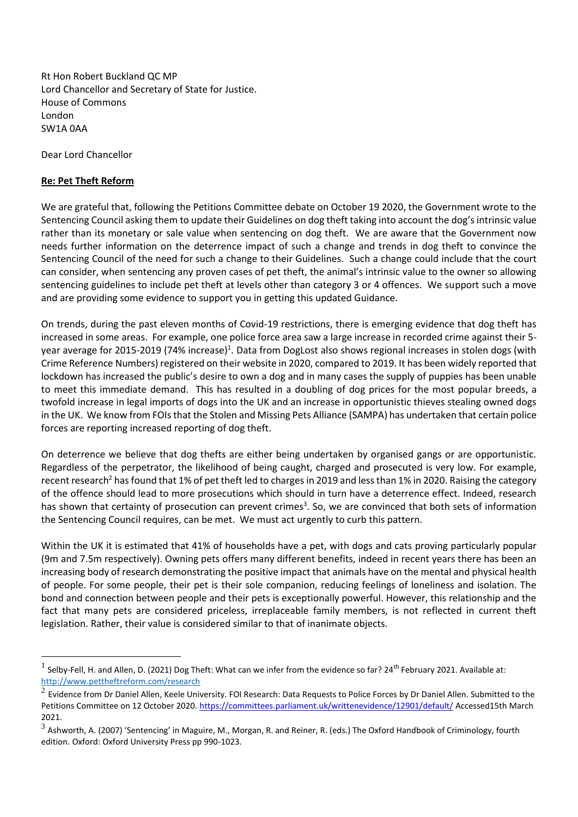Rt Hon Robert Buckland QC MP Lord Chancellor and Secretary of State for Justice. House of Commons London SW1A 0AA

Dear Lord Chancellor

## **Re: Pet Theft Reform**

We are grateful that, following the Petitions Committee debate on October 19 2020, the Government wrote to the Sentencing Council asking them to update their Guidelines on dog theft taking into account the dog's intrinsic value rather than its monetary or sale value when sentencing on dog theft. We are aware that the Government now needs further information on the deterrence impact of such a change and trends in dog theft to convince the Sentencing Council of the need for such a change to their Guidelines. Such a change could include that the court can consider, when sentencing any proven cases of pet theft, the animal's intrinsic value to the owner so allowing sentencing guidelines to include pet theft at levels other than category 3 or 4 offences. We support such a move and are providing some evidence to support you in getting this updated Guidance.

On trends, during the past eleven months of Covid-19 restrictions, there is emerging evidence that dog theft has increased in some areas. For example, one police force area saw a large increase in recorded crime against their 5 year average for 2015-2019 (74% increase)<sup>1</sup>. Data from DogLost also shows regional increases in stolen dogs (with Crime Reference Numbers) registered on their website in 2020, compared to 2019. It has been widely reported that lockdown has increased the public's desire to own a dog and in many cases the supply of puppies has been unable to meet this immediate demand. This has resulted in a doubling of dog prices for the most popular breeds, a twofold increase in legal imports of dogs into the UK and an increase in opportunistic thieves stealing owned dogs in the UK. We know from FOIs that the Stolen and Missing Pets Alliance (SAMPA) has undertaken that certain police forces are reporting increased reporting of dog theft.

On deterrence we believe that dog thefts are either being undertaken by organised gangs or are opportunistic. Regardless of the perpetrator, the likelihood of being caught, charged and prosecuted is very low. For example, recent research<sup>2</sup> has found that 1% of pet theft led to charges in 2019 and less than 1% in 2020. Raising the category of the offence should lead to more prosecutions which should in turn have a deterrence effect. Indeed, research has shown that certainty of prosecution can prevent crimes<sup>3</sup>. So, we are convinced that both sets of information the Sentencing Council requires, can be met. We must act urgently to curb this pattern.

Within the UK it is estimated that 41% of households have a pet, with dogs and cats proving particularly popular (9m and 7.5m respectively). Owning pets offers many different benefits, indeed in recent years there has been an increasing body of research demonstrating the positive impact that animals have on the mental and physical health of people. For some people, their pet is their sole companion, reducing feelings of loneliness and isolation. The bond and connection between people and their pets is exceptionally powerful. However, this relationship and the fact that many pets are considered priceless, irreplaceable family members, is not reflected in current theft legislation. Rather, their value is considered similar to that of inanimate objects.

<sup>&</sup>lt;sup>1</sup> Selby-Fell, H. and Allen, D. (2021) Dog Theft: What can we infer from the evidence so far? 24<sup>th</sup> February 2021. Available at: http://www.pettheftreform.com/research

 $^2$  Evidence from Dr Daniel Allen, Keele University. FOI Research: Data Requests to Police Forces by Dr Daniel Allen. Submitted to the Petitions Committee on 12 October 2020[. https://committees.parliament.uk/writtenevidence/12901/default/](https://committees.parliament.uk/writtenevidence/12901/default/) Accessed15th March 2021.

 $^3$  Ashworth, A. (2007) 'Sentencing' in Maguire, M., Morgan, R. and Reiner, R. (eds.) The Oxford Handbook of Criminology, fourth edition. Oxford: Oxford University Press pp 990-1023.